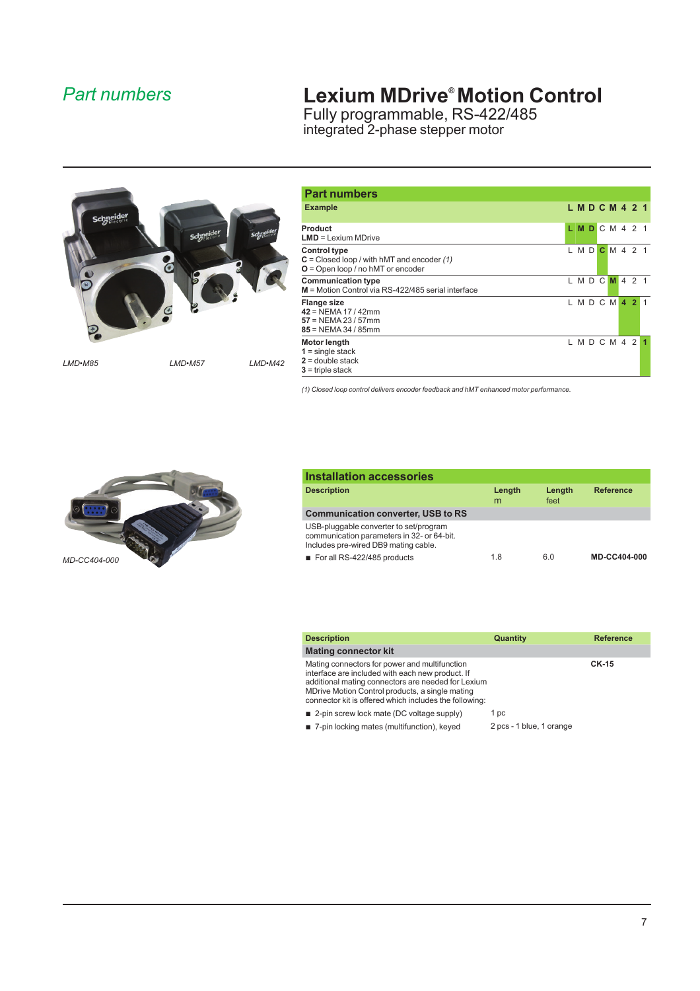## *Part numbers*

## **Lexium MDrive®Motion Control**

Fully programmable, RS-422/485 integrated 2-phase stepper motor



| <b>Part numbers</b>                                                                                        |    |                                  |  |  |  |
|------------------------------------------------------------------------------------------------------------|----|----------------------------------|--|--|--|
| <b>Example</b>                                                                                             |    | L M D C M 4 2 1                  |  |  |  |
| Product<br>$LMD = Lexium MDrive$                                                                           | L. | <b>MDCM421</b>                   |  |  |  |
| <b>Control type</b><br>$C = Closed loop / with hMT and encoder (1)$<br>$O =$ Open loop / no hMT or encoder |    | $LMD$ <b>C</b> M <sub>4</sub> 21 |  |  |  |
| <b>Communication type</b><br>M = Motion Control via RS-422/485 serial interface                            |    | LMDCMA21                         |  |  |  |
| <b>Flange size</b><br>$42$ = NEMA 17 / 42mm<br>$57 = NEMA 23 / 57$ mm<br>$85 = NEMA 34 / 85$ mm            |    | LMDCM42                          |  |  |  |
| Motor length<br>$1 =$ single stack<br>$2 =$ double stack<br>$3$ = triple stack                             |    | L M D C M 4 2                    |  |  |  |

*(1) Closed loop control delivers encoder feedback and hMT enhanced motor performance.*



| <b>Installation accessories</b>                                                                                              |             |                |                     |
|------------------------------------------------------------------------------------------------------------------------------|-------------|----------------|---------------------|
| <b>Description</b>                                                                                                           | Length<br>m | Length<br>feet | <b>Reference</b>    |
| <b>Communication converter, USB to RS</b>                                                                                    |             |                |                     |
| USB-pluggable converter to set/program<br>communication parameters in 32- or 64-bit.<br>Includes pre-wired DB9 mating cable. |             |                |                     |
| For all RS-422/485 products                                                                                                  | 1.8         | 6.0            | <b>MD-CC404-000</b> |

| Description                                                                                                                                                                                                                                                          | Quantity                 | <b>Reference</b> |
|----------------------------------------------------------------------------------------------------------------------------------------------------------------------------------------------------------------------------------------------------------------------|--------------------------|------------------|
| Mating connector kit                                                                                                                                                                                                                                                 |                          |                  |
| Mating connectors for power and multifunction<br>interface are included with each new product. If<br>additional mating connectors are needed for Lexium<br>MDrive Motion Control products, a single mating<br>connector kit is offered which includes the following: |                          | <b>CK-15</b>     |
| ■ 2-pin screw lock mate (DC voltage supply)                                                                                                                                                                                                                          | 1 pc                     |                  |
| 7-pin locking mates (multifunction), keyed                                                                                                                                                                                                                           | 2 pcs - 1 blue, 1 orange |                  |
|                                                                                                                                                                                                                                                                      |                          |                  |